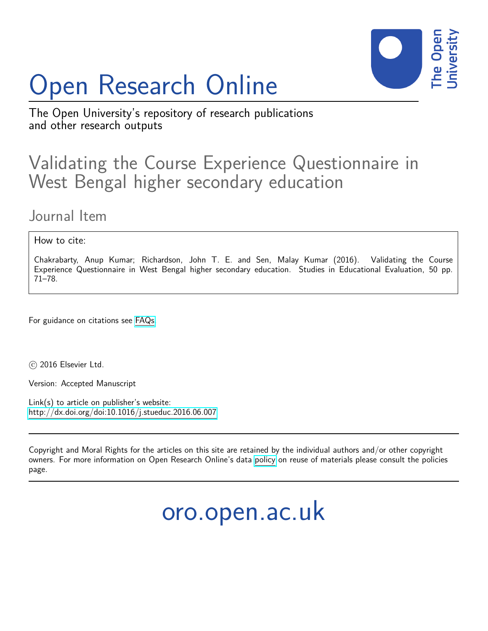# Open Research Online



The Open University's repository of research publications and other research outputs

## Validating the Course Experience Questionnaire in West Bengal higher secondary education

## Journal Item

How to cite:

Chakrabarty, Anup Kumar; Richardson, John T. E. and Sen, Malay Kumar (2016). Validating the Course Experience Questionnaire in West Bengal higher secondary education. Studies in Educational Evaluation, 50 pp. 71–78.

For guidance on citations see [FAQs.](http://oro.open.ac.uk/help/helpfaq.html)

c 2016 Elsevier Ltd.

Version: Accepted Manuscript

Link(s) to article on publisher's website: <http://dx.doi.org/doi:10.1016/j.stueduc.2016.06.007>

Copyright and Moral Rights for the articles on this site are retained by the individual authors and/or other copyright owners. For more information on Open Research Online's data [policy](http://oro.open.ac.uk/policies.html) on reuse of materials please consult the policies page.

oro.open.ac.uk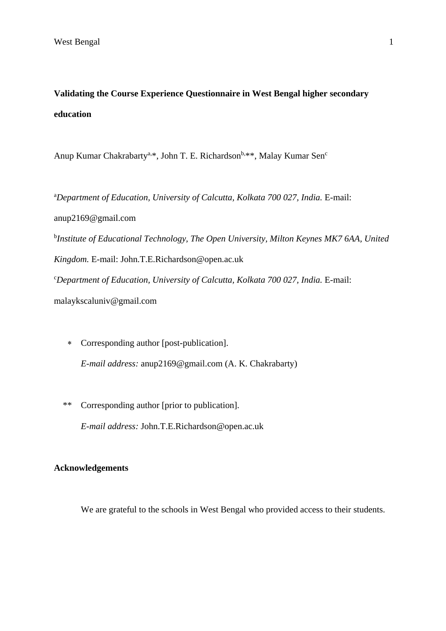## **Validating the Course Experience Questionnaire in West Bengal higher secondary education**

Anup Kumar Chakrabarty<sup>a,\*</sup>, John T. E. Richardson<sup>b,\*\*</sup>, Malay Kumar Sen<sup>c</sup>

<sup>a</sup>Department of Education, University of Calcutta, Kolkata 700 027, India. E-mail: anup2169@gmail.com <sup>b</sup>Institute of Educational Technology, The Open University, Milton Keynes MK7 6AA, United *Kingdom.* E-mail: John.T.E.Richardson@open.ac.uk <sup>c</sup>Department of Education, University of Calcutta, Kolkata 700 027, India. E-mail: malaykscaluniv@gmail.com

- ∗ Corresponding author [post-publication]. *E-mail address:* anup2169@gmail.com (A. K. Chakrabarty)
- \*\* Corresponding author [prior to publication]. *E-mail address:* John.T.E.Richardson@open.ac.uk

#### **Acknowledgements**

We are grateful to the schools in West Bengal who provided access to their students.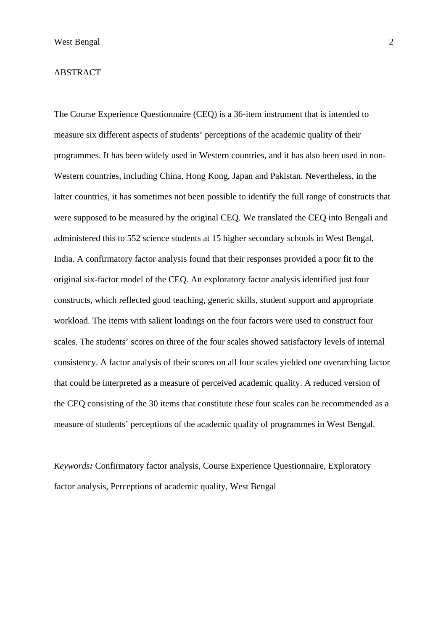#### ABSTRACT

The Course Experience Questionnaire (CEQ) is a 36-item instrument that is intended to measure six different aspects of students' perceptions of the academic quality of their programmes. It has been widely used in Western countries, and it has also been used in non-Western countries, including China, Hong Kong, Japan and Pakistan. Nevertheless, in the latter countries, it has sometimes not been possible to identify the full range of constructs that were supposed to be measured by the original CEQ. We translated the CEQ into Bengali and administered this to 552 science students at 15 higher secondary schools in West Bengal, India. A confirmatory factor analysis found that their responses provided a poor fit to the original six-factor model of the CEQ. An exploratory factor analysis identified just four constructs, which reflected good teaching, generic skills, student support and appropriate workload. The items with salient loadings on the four factors were used to construct four scales. The students' scores on three of the four scales showed satisfactory levels of internal consistency. A factor analysis of their scores on all four scales yielded one overarching factor that could be interpreted as a measure of perceived academic quality. A reduced version of the CEQ consisting of the 30 items that constitute these four scales can be recommended as a measure of students' perceptions of the academic quality of programmes in West Bengal.

*Keywords:* Confirmatory factor analysis, Course Experience Questionnaire, Exploratory factor analysis, Perceptions of academic quality, West Bengal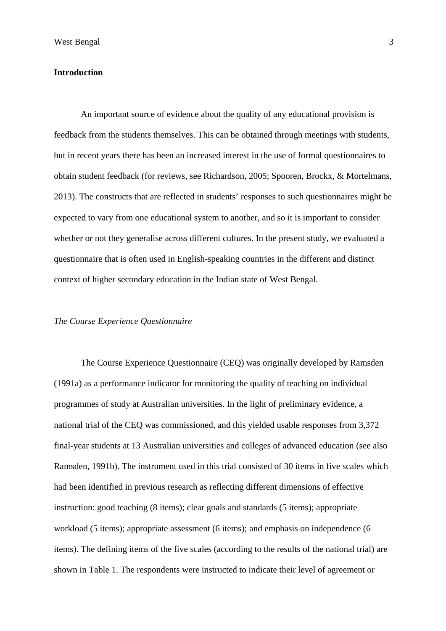#### **Introduction**

An important source of evidence about the quality of any educational provision is feedback from the students themselves. This can be obtained through meetings with students, but in recent years there has been an increased interest in the use of formal questionnaires to obtain student feedback (for reviews, see Richardson, 2005; Spooren, Brockx, & Mortelmans, 2013). The constructs that are reflected in students' responses to such questionnaires might be expected to vary from one educational system to another, and so it is important to consider whether or not they generalise across different cultures. In the present study, we evaluated a questionnaire that is often used in English-speaking countries in the different and distinct context of higher secondary education in the Indian state of West Bengal.

#### *The Course Experience Questionnaire*

The Course Experience Questionnaire (CEQ) was originally developed by Ramsden (1991a) as a performance indicator for monitoring the quality of teaching on individual programmes of study at Australian universities. In the light of preliminary evidence, a national trial of the CEQ was commissioned, and this yielded usable responses from 3,372 final-year students at 13 Australian universities and colleges of advanced education (see also Ramsden, 1991b). The instrument used in this trial consisted of 30 items in five scales which had been identified in previous research as reflecting different dimensions of effective instruction: good teaching (8 items); clear goals and standards (5 items); appropriate workload (5 items); appropriate assessment (6 items); and emphasis on independence (6 items). The defining items of the five scales (according to the results of the national trial) are shown in Table 1. The respondents were instructed to indicate their level of agreement or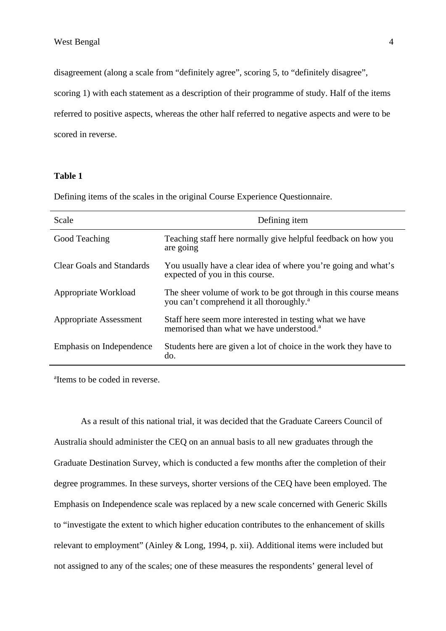disagreement (along a scale from "definitely agree", scoring 5, to "definitely disagree",

scoring 1) with each statement as a description of their programme of study. Half of the items

referred to positive aspects, whereas the other half referred to negative aspects and were to be

scored in reverse.

#### **Table 1**

Defining items of the scales in the original Course Experience Questionnaire.

| Scale                     | Defining item                                                                                                           |
|---------------------------|-------------------------------------------------------------------------------------------------------------------------|
| Good Teaching             | Teaching staff here normally give helpful feedback on how you<br>are going                                              |
| Clear Goals and Standards | You usually have a clear idea of where you're going and what's<br>expected of you in this course.                       |
| Appropriate Workload      | The sheer volume of work to be got through in this course means<br>you can't comprehend it all thoroughly. <sup>a</sup> |
| Appropriate Assessment    | Staff here seem more interested in testing what we have<br>memorised than what we have understood. <sup>a</sup>         |
| Emphasis on Independence  | Students here are given a lot of choice in the work they have to<br>do.                                                 |

a Items to be coded in reverse.

As a result of this national trial, it was decided that the Graduate Careers Council of Australia should administer the CEQ on an annual basis to all new graduates through the Graduate Destination Survey, which is conducted a few months after the completion of their degree programmes. In these surveys, shorter versions of the CEQ have been employed. The Emphasis on Independence scale was replaced by a new scale concerned with Generic Skills to "investigate the extent to which higher education contributes to the enhancement of skills relevant to employment" (Ainley & Long, 1994, p. xii). Additional items were included but not assigned to any of the scales; one of these measures the respondents' general level of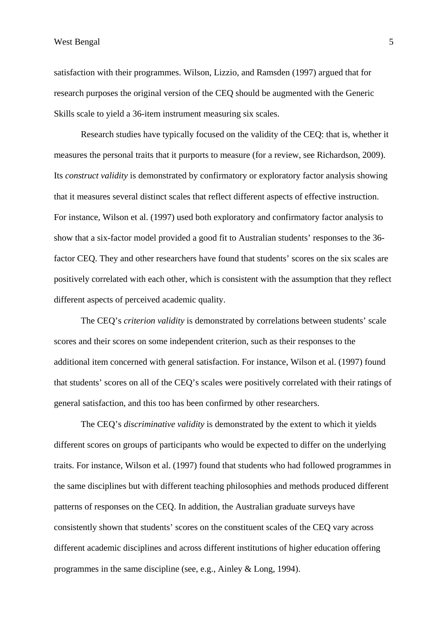West Bengal 5

satisfaction with their programmes. Wilson, Lizzio, and Ramsden (1997) argued that for research purposes the original version of the CEQ should be augmented with the Generic Skills scale to yield a 36-item instrument measuring six scales.

Research studies have typically focused on the validity of the CEQ: that is, whether it measures the personal traits that it purports to measure (for a review, see Richardson, 2009). Its *construct validity* is demonstrated by confirmatory or exploratory factor analysis showing that it measures several distinct scales that reflect different aspects of effective instruction. For instance, Wilson et al. (1997) used both exploratory and confirmatory factor analysis to show that a six-factor model provided a good fit to Australian students' responses to the 36 factor CEQ. They and other researchers have found that students' scores on the six scales are positively correlated with each other, which is consistent with the assumption that they reflect different aspects of perceived academic quality.

The CEQ's *criterion validity* is demonstrated by correlations between students' scale scores and their scores on some independent criterion, such as their responses to the additional item concerned with general satisfaction. For instance, Wilson et al. (1997) found that students' scores on all of the CEQ's scales were positively correlated with their ratings of general satisfaction, and this too has been confirmed by other researchers.

The CEQ's *discriminative validity* is demonstrated by the extent to which it yields different scores on groups of participants who would be expected to differ on the underlying traits. For instance, Wilson et al. (1997) found that students who had followed programmes in the same disciplines but with different teaching philosophies and methods produced different patterns of responses on the CEQ. In addition, the Australian graduate surveys have consistently shown that students' scores on the constituent scales of the CEQ vary across different academic disciplines and across different institutions of higher education offering programmes in the same discipline (see, e.g., Ainley & Long, 1994).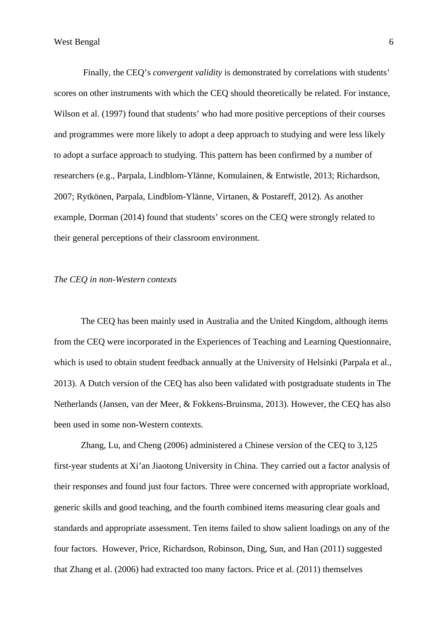Finally, the CEQ's *convergent validity* is demonstrated by correlations with students' scores on other instruments with which the CEQ should theoretically be related. For instance, Wilson et al. (1997) found that students' who had more positive perceptions of their courses and programmes were more likely to adopt a deep approach to studying and were less likely to adopt a surface approach to studying. This pattern has been confirmed by a number of researchers (e.g., Parpala, Lindblom-Ylänne, Komulainen, & Entwistle, 2013; Richardson, 2007; Rytkönen, Parpala, Lindblom-Ylänne, Virtanen, & Postareff, 2012). As another example, Dorman (2014) found that students' scores on the CEQ were strongly related to their general perceptions of their classroom environment.

#### *The CEQ in non-Western contexts*

The CEQ has been mainly used in Australia and the United Kingdom, although items from the CEQ were incorporated in the Experiences of Teaching and Learning Questionnaire, which is used to obtain student feedback annually at the University of Helsinki (Parpala et al., 2013). A Dutch version of the CEQ has also been validated with postgraduate students in The Netherlands (Jansen, van der Meer, & Fokkens-Bruinsma, 2013). However, the CEQ has also been used in some non-Western contexts.

Zhang, Lu, and Cheng (2006) administered a Chinese version of the CEQ to 3,125 first-year students at Xi'an Jiaotong University in China. They carried out a factor analysis of their responses and found just four factors. Three were concerned with appropriate workload, generic skills and good teaching, and the fourth combined items measuring clear goals and standards and appropriate assessment. Ten items failed to show salient loadings on any of the four factors. However, Price, Richardson, Robinson, Ding, Sun, and Han (2011) suggested that Zhang et al. (2006) had extracted too many factors. Price et al. (2011) themselves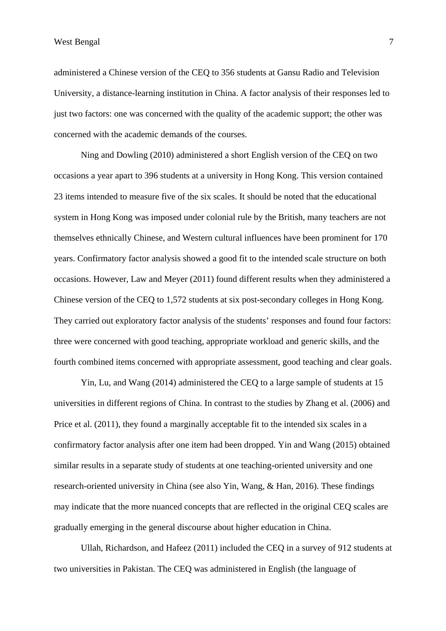West Bengal 7

administered a Chinese version of the CEQ to 356 students at Gansu Radio and Television University, a distance-learning institution in China. A factor analysis of their responses led to just two factors: one was concerned with the quality of the academic support; the other was concerned with the academic demands of the courses.

Ning and Dowling (2010) administered a short English version of the CEQ on two occasions a year apart to 396 students at a university in Hong Kong. This version contained 23 items intended to measure five of the six scales. It should be noted that the educational system in Hong Kong was imposed under colonial rule by the British, many teachers are not themselves ethnically Chinese, and Western cultural influences have been prominent for 170 years. Confirmatory factor analysis showed a good fit to the intended scale structure on both occasions. However, Law and Meyer (2011) found different results when they administered a Chinese version of the CEQ to 1,572 students at six post-secondary colleges in Hong Kong. They carried out exploratory factor analysis of the students' responses and found four factors: three were concerned with good teaching, appropriate workload and generic skills, and the fourth combined items concerned with appropriate assessment, good teaching and clear goals.

Yin, Lu, and Wang (2014) administered the CEQ to a large sample of students at 15 universities in different regions of China. In contrast to the studies by Zhang et al. (2006) and Price et al. (2011), they found a marginally acceptable fit to the intended six scales in a confirmatory factor analysis after one item had been dropped. Yin and Wang (2015) obtained similar results in a separate study of students at one teaching-oriented university and one research-oriented university in China (see also Yin, Wang, & Han, 2016). These findings may indicate that the more nuanced concepts that are reflected in the original CEQ scales are gradually emerging in the general discourse about higher education in China.

Ullah, Richardson, and Hafeez (2011) included the CEQ in a survey of 912 students at two universities in Pakistan. The CEQ was administered in English (the language of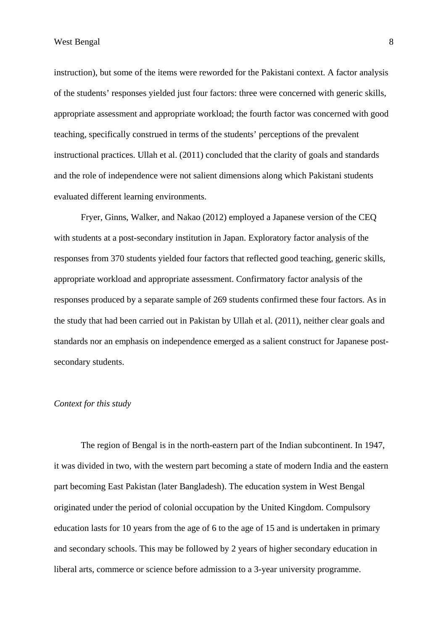instruction), but some of the items were reworded for the Pakistani context. A factor analysis of the students' responses yielded just four factors: three were concerned with generic skills, appropriate assessment and appropriate workload; the fourth factor was concerned with good teaching, specifically construed in terms of the students' perceptions of the prevalent instructional practices. Ullah et al. (2011) concluded that the clarity of goals and standards and the role of independence were not salient dimensions along which Pakistani students evaluated different learning environments.

Fryer, Ginns, Walker, and Nakao (2012) employed a Japanese version of the CEQ with students at a post-secondary institution in Japan. Exploratory factor analysis of the responses from 370 students yielded four factors that reflected good teaching, generic skills, appropriate workload and appropriate assessment. Confirmatory factor analysis of the responses produced by a separate sample of 269 students confirmed these four factors. As in the study that had been carried out in Pakistan by Ullah et al. (2011), neither clear goals and standards nor an emphasis on independence emerged as a salient construct for Japanese postsecondary students.

#### *Context for this study*

The region of Bengal is in the north-eastern part of the Indian subcontinent. In 1947, it was divided in two, with the western part becoming a state of modern India and the eastern part becoming East Pakistan (later Bangladesh). The education system in West Bengal originated under the period of colonial occupation by the United Kingdom. Compulsory education lasts for 10 years from the age of 6 to the age of 15 and is undertaken in primary and secondary schools. This may be followed by 2 years of higher secondary education in liberal arts, commerce or science before admission to a 3-year university programme.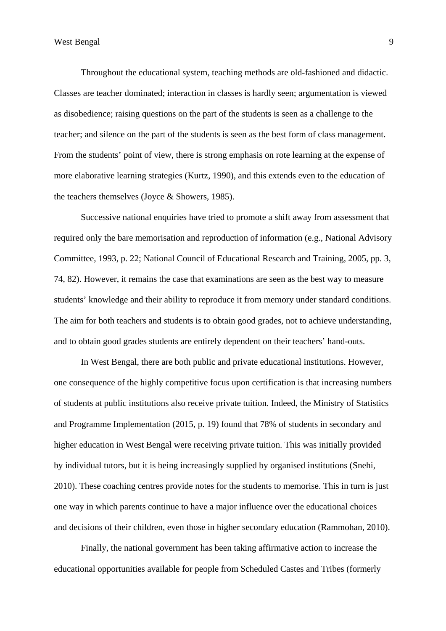Throughout the educational system, teaching methods are old-fashioned and didactic. Classes are teacher dominated; interaction in classes is hardly seen; argumentation is viewed as disobedience; raising questions on the part of the students is seen as a challenge to the teacher; and silence on the part of the students is seen as the best form of class management. From the students' point of view, there is strong emphasis on rote learning at the expense of more elaborative learning strategies (Kurtz, 1990), and this extends even to the education of the teachers themselves (Joyce & Showers, 1985).

Successive national enquiries have tried to promote a shift away from assessment that required only the bare memorisation and reproduction of information (e.g., National Advisory Committee, 1993, p. 22; National Council of Educational Research and Training, 2005, pp. 3, 74, 82). However, it remains the case that examinations are seen as the best way to measure students' knowledge and their ability to reproduce it from memory under standard conditions. The aim for both teachers and students is to obtain good grades, not to achieve understanding, and to obtain good grades students are entirely dependent on their teachers' hand-outs.

In West Bengal, there are both public and private educational institutions. However, one consequence of the highly competitive focus upon certification is that increasing numbers of students at public institutions also receive private tuition. Indeed, the Ministry of Statistics and Programme Implementation (2015, p. 19) found that 78% of students in secondary and higher education in West Bengal were receiving private tuition. This was initially provided by individual tutors, but it is being increasingly supplied by organised institutions (Snehi, 2010). These coaching centres provide notes for the students to memorise. This in turn is just one way in which parents continue to have a major influence over the educational choices and decisions of their children, even those in higher secondary education (Rammohan, 2010).

Finally, the national government has been taking affirmative action to increase the educational opportunities available for people from Scheduled Castes and Tribes (formerly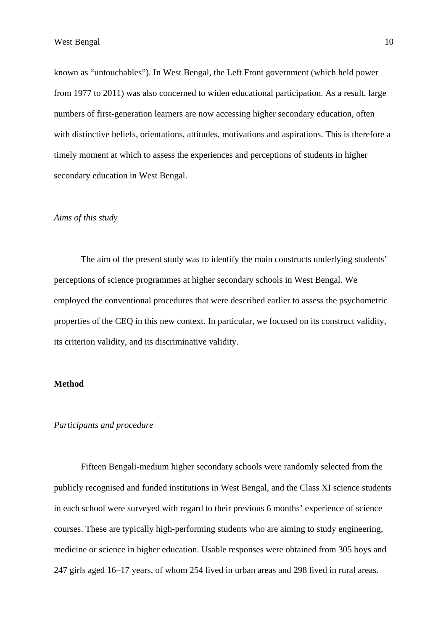known as "untouchables"). In West Bengal, the Left Front government (which held power from 1977 to 2011) was also concerned to widen educational participation. As a result, large numbers of first-generation learners are now accessing higher secondary education, often with distinctive beliefs, orientations, attitudes, motivations and aspirations. This is therefore a timely moment at which to assess the experiences and perceptions of students in higher secondary education in West Bengal.

#### *Aims of this study*

The aim of the present study was to identify the main constructs underlying students' perceptions of science programmes at higher secondary schools in West Bengal. We employed the conventional procedures that were described earlier to assess the psychometric properties of the CEQ in this new context. In particular, we focused on its construct validity, its criterion validity, and its discriminative validity.

#### **Method**

#### *Participants and procedure*

Fifteen Bengali-medium higher secondary schools were randomly selected from the publicly recognised and funded institutions in West Bengal, and the Class XI science students in each school were surveyed with regard to their previous 6 months' experience of science courses. These are typically high-performing students who are aiming to study engineering, medicine or science in higher education. Usable responses were obtained from 305 boys and 247 girls aged 16–17 years, of whom 254 lived in urban areas and 298 lived in rural areas.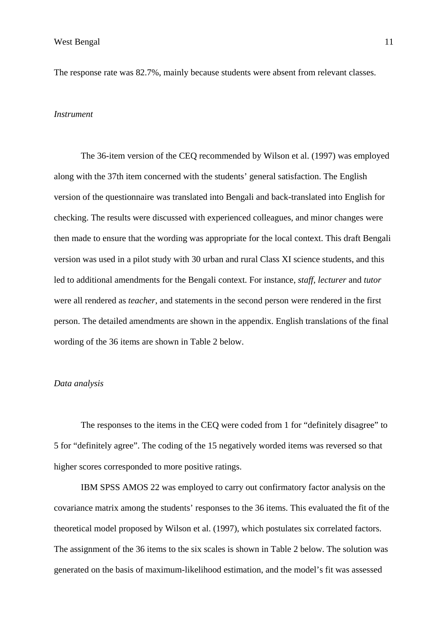The response rate was 82.7%, mainly because students were absent from relevant classes.

#### *Instrument*

The 36-item version of the CEQ recommended by Wilson et al. (1997) was employed along with the 37th item concerned with the students' general satisfaction. The English version of the questionnaire was translated into Bengali and back-translated into English for checking. The results were discussed with experienced colleagues, and minor changes were then made to ensure that the wording was appropriate for the local context. This draft Bengali version was used in a pilot study with 30 urban and rural Class XI science students, and this led to additional amendments for the Bengali context. For instance, *staff*, *lecturer* and *tutor* were all rendered as *teacher*, and statements in the second person were rendered in the first person. The detailed amendments are shown in the appendix. English translations of the final wording of the 36 items are shown in Table 2 below.

#### *Data analysis*

The responses to the items in the CEQ were coded from 1 for "definitely disagree" to 5 for "definitely agree". The coding of the 15 negatively worded items was reversed so that higher scores corresponded to more positive ratings.

IBM SPSS AMOS 22 was employed to carry out confirmatory factor analysis on the covariance matrix among the students' responses to the 36 items. This evaluated the fit of the theoretical model proposed by Wilson et al. (1997), which postulates six correlated factors. The assignment of the 36 items to the six scales is shown in Table 2 below. The solution was generated on the basis of maximum-likelihood estimation, and the model's fit was assessed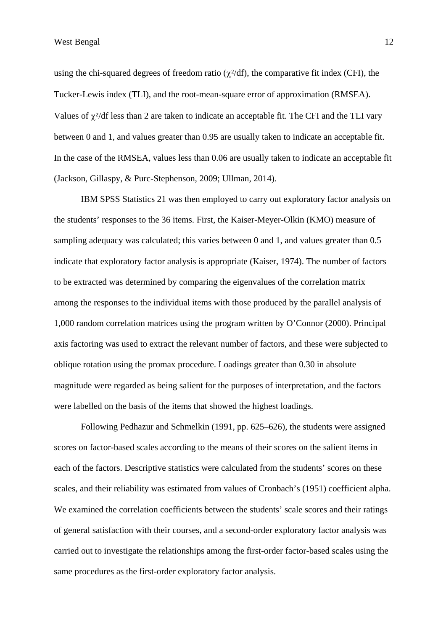using the chi-squared degrees of freedom ratio ( $\chi^2$ /df), the comparative fit index (CFI), the Tucker-Lewis index (TLI), and the root-mean-square error of approximation (RMSEA). Values of  $\chi^2$ /df less than 2 are taken to indicate an acceptable fit. The CFI and the TLI vary between 0 and 1, and values greater than 0.95 are usually taken to indicate an acceptable fit. In the case of the RMSEA, values less than 0.06 are usually taken to indicate an acceptable fit (Jackson, Gillaspy, & Purc-Stephenson, 2009; Ullman, 2014).

IBM SPSS Statistics 21 was then employed to carry out exploratory factor analysis on the students' responses to the 36 items. First, the Kaiser-Meyer-Olkin (KMO) measure of sampling adequacy was calculated; this varies between 0 and 1, and values greater than 0.5 indicate that exploratory factor analysis is appropriate (Kaiser, 1974). The number of factors to be extracted was determined by comparing the eigenvalues of the correlation matrix among the responses to the individual items with those produced by the parallel analysis of 1,000 random correlation matrices using the program written by O'Connor (2000). Principal axis factoring was used to extract the relevant number of factors, and these were subjected to oblique rotation using the promax procedure. Loadings greater than 0.30 in absolute magnitude were regarded as being salient for the purposes of interpretation, and the factors were labelled on the basis of the items that showed the highest loadings.

Following Pedhazur and Schmelkin (1991, pp. 625–626), the students were assigned scores on factor-based scales according to the means of their scores on the salient items in each of the factors. Descriptive statistics were calculated from the students' scores on these scales, and their reliability was estimated from values of Cronbach's (1951) coefficient alpha. We examined the correlation coefficients between the students' scale scores and their ratings of general satisfaction with their courses, and a second-order exploratory factor analysis was carried out to investigate the relationships among the first-order factor-based scales using the same procedures as the first-order exploratory factor analysis.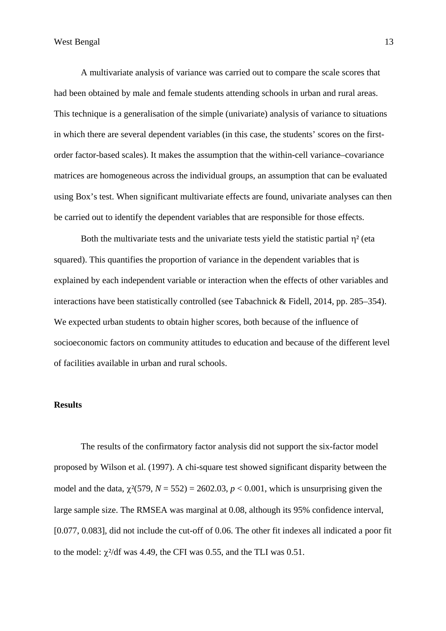A multivariate analysis of variance was carried out to compare the scale scores that had been obtained by male and female students attending schools in urban and rural areas. This technique is a generalisation of the simple (univariate) analysis of variance to situations in which there are several dependent variables (in this case, the students' scores on the firstorder factor-based scales). It makes the assumption that the within-cell variance–covariance matrices are homogeneous across the individual groups, an assumption that can be evaluated using Box's test. When significant multivariate effects are found, univariate analyses can then be carried out to identify the dependent variables that are responsible for those effects.

Both the multivariate tests and the univariate tests yield the statistic partial  $\eta^2$  (eta squared). This quantifies the proportion of variance in the dependent variables that is explained by each independent variable or interaction when the effects of other variables and interactions have been statistically controlled (see Tabachnick & Fidell, 2014, pp. 285–354). We expected urban students to obtain higher scores, both because of the influence of socioeconomic factors on community attitudes to education and because of the different level of facilities available in urban and rural schools.

#### **Results**

The results of the confirmatory factor analysis did not support the six-factor model proposed by Wilson et al. (1997). A chi-square test showed significant disparity between the model and the data,  $\chi^2(579, N = 552) = 2602.03, p < 0.001$ , which is unsurprising given the large sample size. The RMSEA was marginal at 0.08, although its 95% confidence interval, [0.077, 0.083], did not include the cut-off of 0.06. The other fit indexes all indicated a poor fit to the model:  $\chi^2$ /df was 4.49, the CFI was 0.55, and the TLI was 0.51.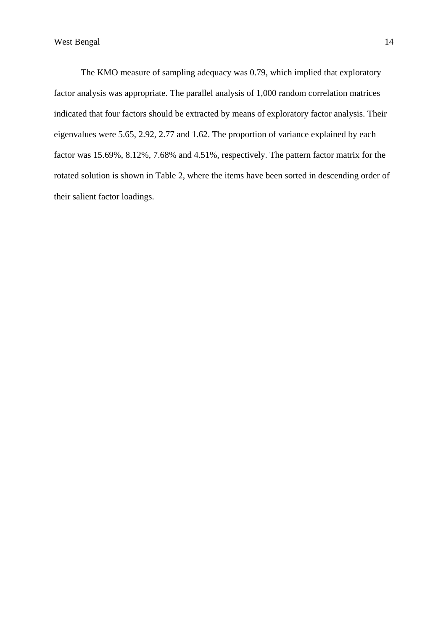The KMO measure of sampling adequacy was 0.79, which implied that exploratory factor analysis was appropriate. The parallel analysis of 1,000 random correlation matrices indicated that four factors should be extracted by means of exploratory factor analysis. Their eigenvalues were 5.65, 2.92, 2.77 and 1.62. The proportion of variance explained by each factor was 15.69%, 8.12%, 7.68% and 4.51%, respectively. The pattern factor matrix for the rotated solution is shown in Table 2, where the items have been sorted in descending order of their salient factor loadings.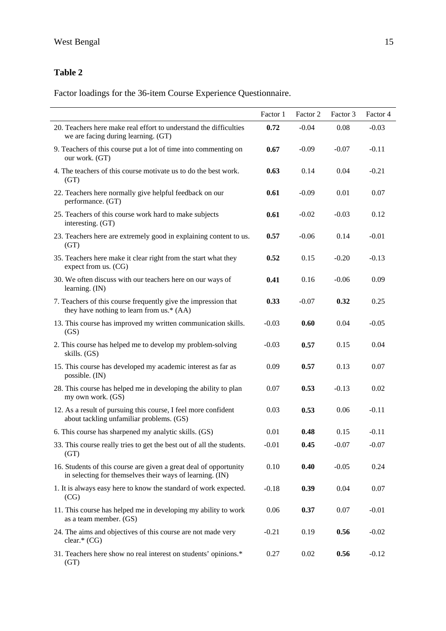### **Table 2**

Factor loadings for the 36-item Course Experience Questionnaire.

|                                                                                                                               | Factor 1 | Factor 2 | Factor 3 | Factor 4 |
|-------------------------------------------------------------------------------------------------------------------------------|----------|----------|----------|----------|
| 20. Teachers here make real effort to understand the difficulties<br>we are facing during learning. (GT)                      | 0.72     | $-0.04$  | 0.08     | $-0.03$  |
| 9. Teachers of this course put a lot of time into commenting on<br>our work. (GT)                                             | 0.67     | $-0.09$  | $-0.07$  | $-0.11$  |
| 4. The teachers of this course motivate us to do the best work.<br>(GT)                                                       | 0.63     | 0.14     | 0.04     | $-0.21$  |
| 22. Teachers here normally give helpful feedback on our<br>performance. (GT)                                                  | 0.61     | $-0.09$  | 0.01     | 0.07     |
| 25. Teachers of this course work hard to make subjects<br>interesting. (GT)                                                   | 0.61     | $-0.02$  | $-0.03$  | 0.12     |
| 23. Teachers here are extremely good in explaining content to us.<br>(GT)                                                     | 0.57     | $-0.06$  | 0.14     | $-0.01$  |
| 35. Teachers here make it clear right from the start what they<br>expect from us. (CG)                                        | 0.52     | 0.15     | $-0.20$  | $-0.13$  |
| 30. We often discuss with our teachers here on our ways of<br>learning. (IN)                                                  | 0.41     | 0.16     | $-0.06$  | 0.09     |
| 7. Teachers of this course frequently give the impression that<br>they have nothing to learn from us.* (AA)                   | 0.33     | $-0.07$  | 0.32     | 0.25     |
| 13. This course has improved my written communication skills.<br>(GS)                                                         | $-0.03$  | 0.60     | 0.04     | $-0.05$  |
| 2. This course has helped me to develop my problem-solving<br>skills. (GS)                                                    | $-0.03$  | 0.57     | 0.15     | 0.04     |
| 15. This course has developed my academic interest as far as<br>possible. (IN)                                                | 0.09     | 0.57     | 0.13     | 0.07     |
| 28. This course has helped me in developing the ability to plan<br>my own work. (GS)                                          | 0.07     | 0.53     | $-0.13$  | 0.02     |
| 12. As a result of pursuing this course, I feel more confident<br>about tackling unfamiliar problems. (GS)                    | 0.03     | 0.53     | 0.06     | $-0.11$  |
| 6. This course has sharpened my analytic skills. (GS)                                                                         | 0.01     | 0.48     | 0.15     | $-0.11$  |
| 33. This course really tries to get the best out of all the students.<br>(GT)                                                 | $-0.01$  | 0.45     | $-0.07$  | $-0.07$  |
| 16. Students of this course are given a great deal of opportunity<br>in selecting for themselves their ways of learning. (IN) | 0.10     | 0.40     | $-0.05$  | 0.24     |
| 1. It is always easy here to know the standard of work expected.<br>(CG)                                                      | $-0.18$  | 0.39     | 0.04     | 0.07     |
| 11. This course has helped me in developing my ability to work<br>as a team member. (GS)                                      | 0.06     | 0.37     | 0.07     | $-0.01$  |
| 24. The aims and objectives of this course are not made very<br>$clear.*$ (CG)                                                | $-0.21$  | 0.19     | 0.56     | $-0.02$  |
| 31. Teachers here show no real interest on students' opinions.*<br>(GT)                                                       | 0.27     | 0.02     | 0.56     | $-0.12$  |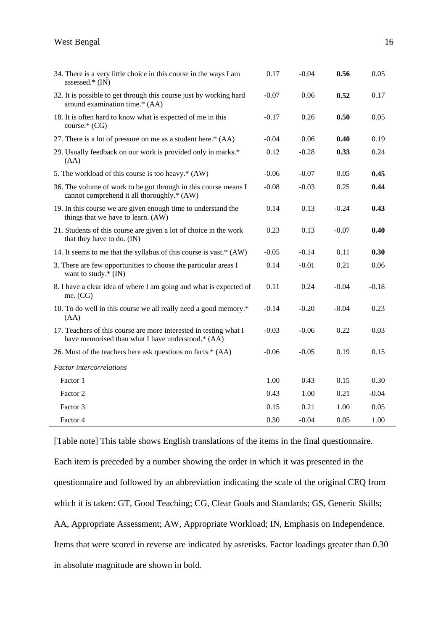#### West Bengal 16

| 34. There is a very little choice in this course in the ways I am<br>assessed.* (IN)                                   | 0.17    | $-0.04$ | 0.56    | 0.05    |
|------------------------------------------------------------------------------------------------------------------------|---------|---------|---------|---------|
| 32. It is possible to get through this course just by working hard<br>around examination time.* (AA)                   | $-0.07$ | 0.06    | 0.52    | 0.17    |
| 18. It is often hard to know what is expected of me in this<br>course.* $(CG)$                                         | $-0.17$ | 0.26    | 0.50    | 0.05    |
| 27. There is a lot of pressure on me as a student here.* (AA)                                                          | $-0.04$ | 0.06    | 0.40    | 0.19    |
| 29. Usually feedback on our work is provided only in marks.*<br>(AA)                                                   | 0.12    | $-0.28$ | 0.33    | 0.24    |
| 5. The workload of this course is too heavy.* (AW)                                                                     | $-0.06$ | $-0.07$ | 0.05    | 0.45    |
| 36. The volume of work to be got through in this course means I<br>cannot comprehend it all thoroughly.* (AW)          | $-0.08$ | $-0.03$ | 0.25    | 0.44    |
| 19. In this course we are given enough time to understand the<br>things that we have to learn. (AW)                    | 0.14    | 0.13    | $-0.24$ | 0.43    |
| 21. Students of this course are given a lot of choice in the work<br>that they have to do. (IN)                        | 0.23    | 0.13    | $-0.07$ | 0.40    |
| 14. It seems to me that the syllabus of this course is vast.* $(AW)$                                                   | $-0.05$ | $-0.14$ | 0.11    | 0.30    |
| 3. There are few opportunities to choose the particular areas I<br>want to study.* $(IN)$                              | 0.14    | $-0.01$ | 0.21    | 0.06    |
| 8. I have a clear idea of where I am going and what is expected of<br>me. $(CG)$                                       | 0.11    | 0.24    | $-0.04$ | $-0.18$ |
| 10. To do well in this course we all really need a good memory.*<br>(AA)                                               | $-0.14$ | $-0.20$ | $-0.04$ | 0.23    |
| 17. Teachers of this course are more interested in testing what I<br>have memorised than what I have understood.* (AA) | $-0.03$ | $-0.06$ | 0.22    | 0.03    |
| 26. Most of the teachers here ask questions on facts.* (AA)                                                            | $-0.06$ | $-0.05$ | 0.19    | 0.15    |
| <b>Factor</b> intercorrelations                                                                                        |         |         |         |         |
| Factor 1                                                                                                               | 1.00    | 0.43    | 0.15    | 0.30    |
| Factor 2                                                                                                               | 0.43    | 1.00    | 0.21    | $-0.04$ |
| Factor 3                                                                                                               | 0.15    | 0.21    | 1.00    | 0.05    |
| Factor 4                                                                                                               | 0.30    | $-0.04$ | 0.05    | 1.00    |

[Table note] This table shows English translations of the items in the final questionnaire. Each item is preceded by a number showing the order in which it was presented in the questionnaire and followed by an abbreviation indicating the scale of the original CEQ from which it is taken: GT, Good Teaching; CG, Clear Goals and Standards; GS, Generic Skills; AA, Appropriate Assessment; AW, Appropriate Workload; IN, Emphasis on Independence. Items that were scored in reverse are indicated by asterisks. Factor loadings greater than 0.30 in absolute magnitude are shown in bold.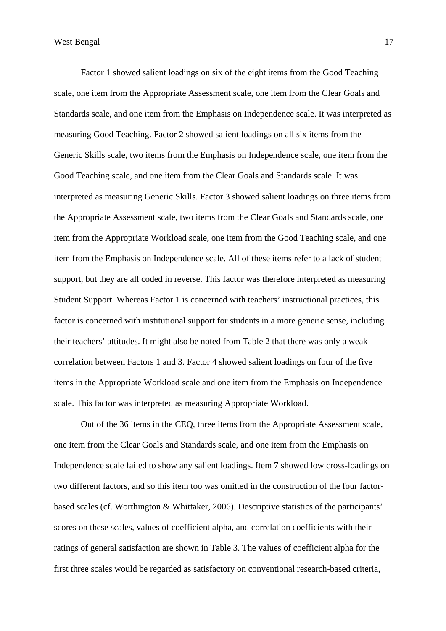Factor 1 showed salient loadings on six of the eight items from the Good Teaching scale, one item from the Appropriate Assessment scale, one item from the Clear Goals and Standards scale, and one item from the Emphasis on Independence scale. It was interpreted as measuring Good Teaching. Factor 2 showed salient loadings on all six items from the Generic Skills scale, two items from the Emphasis on Independence scale, one item from the Good Teaching scale, and one item from the Clear Goals and Standards scale. It was interpreted as measuring Generic Skills. Factor 3 showed salient loadings on three items from the Appropriate Assessment scale, two items from the Clear Goals and Standards scale, one item from the Appropriate Workload scale, one item from the Good Teaching scale, and one item from the Emphasis on Independence scale. All of these items refer to a lack of student support, but they are all coded in reverse. This factor was therefore interpreted as measuring Student Support. Whereas Factor 1 is concerned with teachers' instructional practices, this factor is concerned with institutional support for students in a more generic sense, including their teachers' attitudes. It might also be noted from Table 2 that there was only a weak correlation between Factors 1 and 3. Factor 4 showed salient loadings on four of the five items in the Appropriate Workload scale and one item from the Emphasis on Independence scale. This factor was interpreted as measuring Appropriate Workload.

Out of the 36 items in the CEQ, three items from the Appropriate Assessment scale, one item from the Clear Goals and Standards scale, and one item from the Emphasis on Independence scale failed to show any salient loadings. Item 7 showed low cross-loadings on two different factors, and so this item too was omitted in the construction of the four factorbased scales (cf. Worthington & Whittaker, 2006). Descriptive statistics of the participants' scores on these scales, values of coefficient alpha, and correlation coefficients with their ratings of general satisfaction are shown in Table 3. The values of coefficient alpha for the first three scales would be regarded as satisfactory on conventional research-based criteria,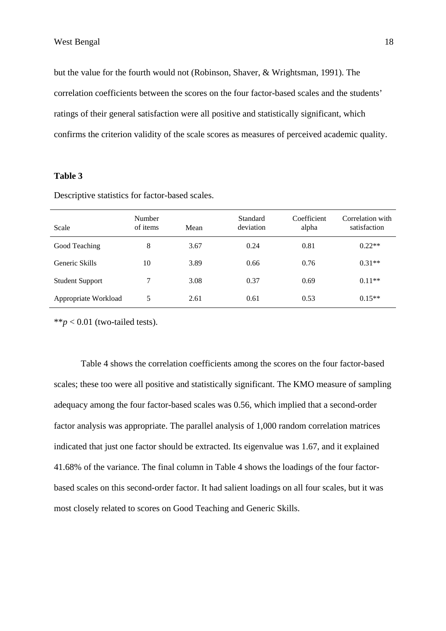but the value for the fourth would not (Robinson, Shaver, & Wrightsman, 1991). The correlation coefficients between the scores on the four factor-based scales and the students' ratings of their general satisfaction were all positive and statistically significant, which confirms the criterion validity of the scale scores as measures of perceived academic quality.

#### **Table 3**

| Scale                  | Number<br>of items | Mean | Standard<br>deviation | Coefficient<br>alpha | Correlation with<br>satisfaction |
|------------------------|--------------------|------|-----------------------|----------------------|----------------------------------|
| Good Teaching          | 8                  | 3.67 | 0.24                  | 0.81                 | $0.22**$                         |
| Generic Skills         | 10                 | 3.89 | 0.66                  | 0.76                 | $0.31**$                         |
| <b>Student Support</b> | 7                  | 3.08 | 0.37                  | 0.69                 | $0.11**$                         |
| Appropriate Workload   | 5                  | 2.61 | 0.61                  | 0.53                 | $0.15**$                         |

Descriptive statistics for factor-based scales.

 $**p < 0.01$  (two-tailed tests).

Table 4 shows the correlation coefficients among the scores on the four factor-based scales; these too were all positive and statistically significant. The KMO measure of sampling adequacy among the four factor-based scales was 0.56, which implied that a second-order factor analysis was appropriate. The parallel analysis of 1,000 random correlation matrices indicated that just one factor should be extracted. Its eigenvalue was 1.67, and it explained 41.68% of the variance. The final column in Table 4 shows the loadings of the four factorbased scales on this second-order factor. It had salient loadings on all four scales, but it was most closely related to scores on Good Teaching and Generic Skills.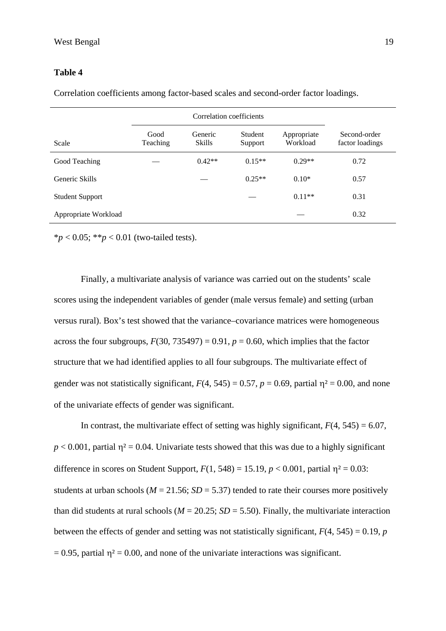#### **Table 4**

Correlation coefficients among factor-based scales and second-order factor loadings.

|                        | Correlation coefficients |                          |                    |                         |                                 |
|------------------------|--------------------------|--------------------------|--------------------|-------------------------|---------------------------------|
| Scale                  | Good<br>Teaching         | Generic<br><b>Skills</b> | Student<br>Support | Appropriate<br>Workload | Second-order<br>factor loadings |
| Good Teaching          |                          | $0.42**$                 | $0.15**$           | $0.29**$                | 0.72                            |
| Generic Skills         |                          |                          | $0.25**$           | $0.10*$                 | 0.57                            |
| <b>Student Support</b> |                          |                          |                    | $0.11**$                | 0.31                            |
| Appropriate Workload   |                          |                          |                    |                         | 0.32                            |

 $*_{p}$  < 0.05; \*\**p* < 0.01 (two-tailed tests).

Finally, a multivariate analysis of variance was carried out on the students' scale scores using the independent variables of gender (male versus female) and setting (urban versus rural). Box's test showed that the variance–covariance matrices were homogeneous across the four subgroups,  $F(30, 735497) = 0.91$ ,  $p = 0.60$ , which implies that the factor structure that we had identified applies to all four subgroups. The multivariate effect of gender was not statistically significant,  $F(4, 545) = 0.57$ ,  $p = 0.69$ , partial  $\eta^2 = 0.00$ , and none of the univariate effects of gender was significant.

In contrast, the multivariate effect of setting was highly significant,  $F(4, 545) = 6.07$ ,  $p < 0.001$ , partial  $\eta^2 = 0.04$ . Univariate tests showed that this was due to a highly significant difference in scores on Student Support,  $F(1, 548) = 15.19$ ,  $p < 0.001$ , partial  $\eta^2 = 0.03$ : students at urban schools ( $M = 21.56$ ;  $SD = 5.37$ ) tended to rate their courses more positively than did students at rural schools ( $M = 20.25$ ;  $SD = 5.50$ ). Finally, the multivariate interaction between the effects of gender and setting was not statistically significant,  $F(4, 545) = 0.19$ , *p*  $= 0.95$ , partial  $\eta^2 = 0.00$ , and none of the univariate interactions was significant.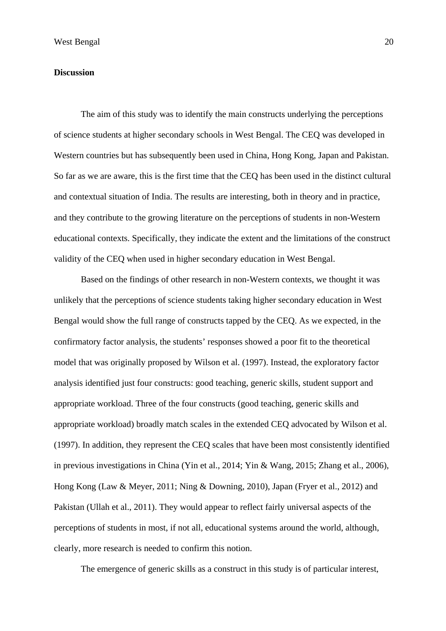#### **Discussion**

The aim of this study was to identify the main constructs underlying the perceptions of science students at higher secondary schools in West Bengal. The CEQ was developed in Western countries but has subsequently been used in China, Hong Kong, Japan and Pakistan. So far as we are aware, this is the first time that the CEQ has been used in the distinct cultural and contextual situation of India. The results are interesting, both in theory and in practice, and they contribute to the growing literature on the perceptions of students in non-Western educational contexts. Specifically, they indicate the extent and the limitations of the construct validity of the CEQ when used in higher secondary education in West Bengal.

Based on the findings of other research in non-Western contexts, we thought it was unlikely that the perceptions of science students taking higher secondary education in West Bengal would show the full range of constructs tapped by the CEQ. As we expected, in the confirmatory factor analysis, the students' responses showed a poor fit to the theoretical model that was originally proposed by Wilson et al. (1997). Instead, the exploratory factor analysis identified just four constructs: good teaching, generic skills, student support and appropriate workload. Three of the four constructs (good teaching, generic skills and appropriate workload) broadly match scales in the extended CEQ advocated by Wilson et al. (1997). In addition, they represent the CEQ scales that have been most consistently identified in previous investigations in China (Yin et al., 2014; Yin & Wang, 2015; Zhang et al., 2006), Hong Kong (Law & Meyer, 2011; Ning & Downing, 2010), Japan (Fryer et al., 2012) and Pakistan (Ullah et al., 2011). They would appear to reflect fairly universal aspects of the perceptions of students in most, if not all, educational systems around the world, although, clearly, more research is needed to confirm this notion.

The emergence of generic skills as a construct in this study is of particular interest,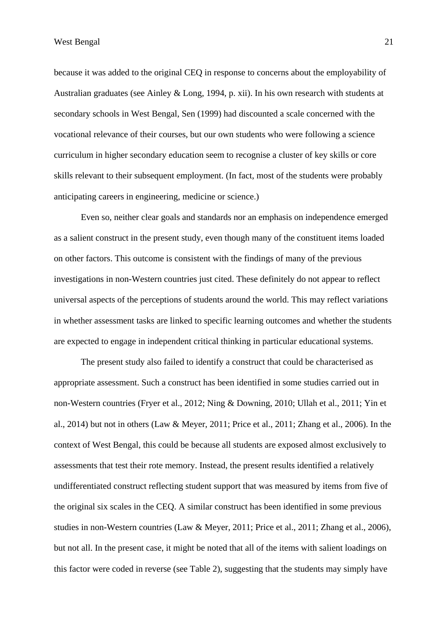because it was added to the original CEQ in response to concerns about the employability of Australian graduates (see Ainley & Long, 1994, p. xii). In his own research with students at secondary schools in West Bengal, Sen (1999) had discounted a scale concerned with the vocational relevance of their courses, but our own students who were following a science curriculum in higher secondary education seem to recognise a cluster of key skills or core skills relevant to their subsequent employment. (In fact, most of the students were probably anticipating careers in engineering, medicine or science.)

Even so, neither clear goals and standards nor an emphasis on independence emerged as a salient construct in the present study, even though many of the constituent items loaded on other factors. This outcome is consistent with the findings of many of the previous investigations in non-Western countries just cited. These definitely do not appear to reflect universal aspects of the perceptions of students around the world. This may reflect variations in whether assessment tasks are linked to specific learning outcomes and whether the students are expected to engage in independent critical thinking in particular educational systems.

The present study also failed to identify a construct that could be characterised as appropriate assessment. Such a construct has been identified in some studies carried out in non-Western countries (Fryer et al., 2012; Ning & Downing, 2010; Ullah et al., 2011; Yin et al., 2014) but not in others (Law & Meyer, 2011; Price et al., 2011; Zhang et al., 2006). In the context of West Bengal, this could be because all students are exposed almost exclusively to assessments that test their rote memory. Instead, the present results identified a relatively undifferentiated construct reflecting student support that was measured by items from five of the original six scales in the CEQ. A similar construct has been identified in some previous studies in non-Western countries (Law & Meyer, 2011; Price et al., 2011; Zhang et al., 2006), but not all. In the present case, it might be noted that all of the items with salient loadings on this factor were coded in reverse (see Table 2), suggesting that the students may simply have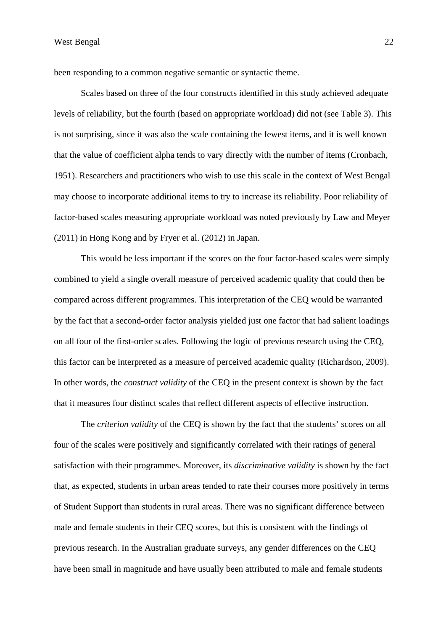been responding to a common negative semantic or syntactic theme.

Scales based on three of the four constructs identified in this study achieved adequate levels of reliability, but the fourth (based on appropriate workload) did not (see Table 3). This is not surprising, since it was also the scale containing the fewest items, and it is well known that the value of coefficient alpha tends to vary directly with the number of items (Cronbach, 1951). Researchers and practitioners who wish to use this scale in the context of West Bengal may choose to incorporate additional items to try to increase its reliability. Poor reliability of factor-based scales measuring appropriate workload was noted previously by Law and Meyer (2011) in Hong Kong and by Fryer et al. (2012) in Japan.

This would be less important if the scores on the four factor-based scales were simply combined to yield a single overall measure of perceived academic quality that could then be compared across different programmes. This interpretation of the CEQ would be warranted by the fact that a second-order factor analysis yielded just one factor that had salient loadings on all four of the first-order scales. Following the logic of previous research using the CEQ, this factor can be interpreted as a measure of perceived academic quality (Richardson, 2009). In other words, the *construct validity* of the CEQ in the present context is shown by the fact that it measures four distinct scales that reflect different aspects of effective instruction.

The *criterion validity* of the CEQ is shown by the fact that the students' scores on all four of the scales were positively and significantly correlated with their ratings of general satisfaction with their programmes. Moreover, its *discriminative validity* is shown by the fact that, as expected, students in urban areas tended to rate their courses more positively in terms of Student Support than students in rural areas. There was no significant difference between male and female students in their CEQ scores, but this is consistent with the findings of previous research. In the Australian graduate surveys, any gender differences on the CEQ have been small in magnitude and have usually been attributed to male and female students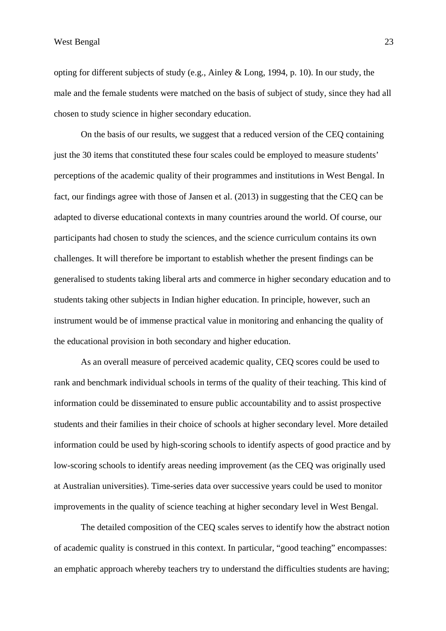West Bengal 23

opting for different subjects of study (e.g., Ainley & Long, 1994, p. 10). In our study, the male and the female students were matched on the basis of subject of study, since they had all chosen to study science in higher secondary education.

On the basis of our results, we suggest that a reduced version of the CEQ containing just the 30 items that constituted these four scales could be employed to measure students' perceptions of the academic quality of their programmes and institutions in West Bengal. In fact, our findings agree with those of Jansen et al. (2013) in suggesting that the CEQ can be adapted to diverse educational contexts in many countries around the world. Of course, our participants had chosen to study the sciences, and the science curriculum contains its own challenges. It will therefore be important to establish whether the present findings can be generalised to students taking liberal arts and commerce in higher secondary education and to students taking other subjects in Indian higher education. In principle, however, such an instrument would be of immense practical value in monitoring and enhancing the quality of the educational provision in both secondary and higher education.

As an overall measure of perceived academic quality, CEQ scores could be used to rank and benchmark individual schools in terms of the quality of their teaching. This kind of information could be disseminated to ensure public accountability and to assist prospective students and their families in their choice of schools at higher secondary level. More detailed information could be used by high-scoring schools to identify aspects of good practice and by low-scoring schools to identify areas needing improvement (as the CEQ was originally used at Australian universities). Time-series data over successive years could be used to monitor improvements in the quality of science teaching at higher secondary level in West Bengal.

The detailed composition of the CEQ scales serves to identify how the abstract notion of academic quality is construed in this context. In particular, "good teaching" encompasses: an emphatic approach whereby teachers try to understand the difficulties students are having;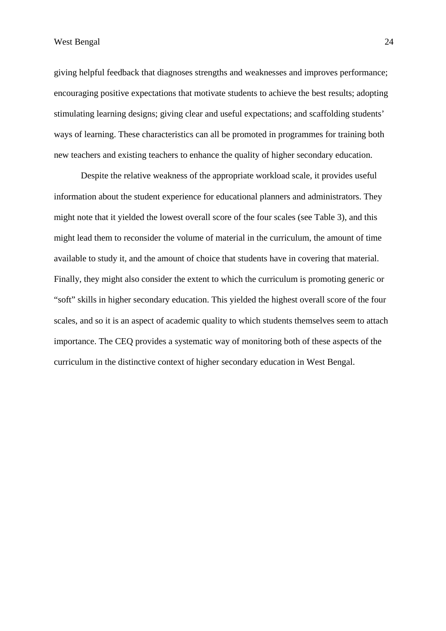giving helpful feedback that diagnoses strengths and weaknesses and improves performance; encouraging positive expectations that motivate students to achieve the best results; adopting stimulating learning designs; giving clear and useful expectations; and scaffolding students' ways of learning. These characteristics can all be promoted in programmes for training both new teachers and existing teachers to enhance the quality of higher secondary education.

Despite the relative weakness of the appropriate workload scale, it provides useful information about the student experience for educational planners and administrators. They might note that it yielded the lowest overall score of the four scales (see Table 3), and this might lead them to reconsider the volume of material in the curriculum, the amount of time available to study it, and the amount of choice that students have in covering that material. Finally, they might also consider the extent to which the curriculum is promoting generic or "soft" skills in higher secondary education. This yielded the highest overall score of the four scales, and so it is an aspect of academic quality to which students themselves seem to attach importance. The CEQ provides a systematic way of monitoring both of these aspects of the curriculum in the distinctive context of higher secondary education in West Bengal.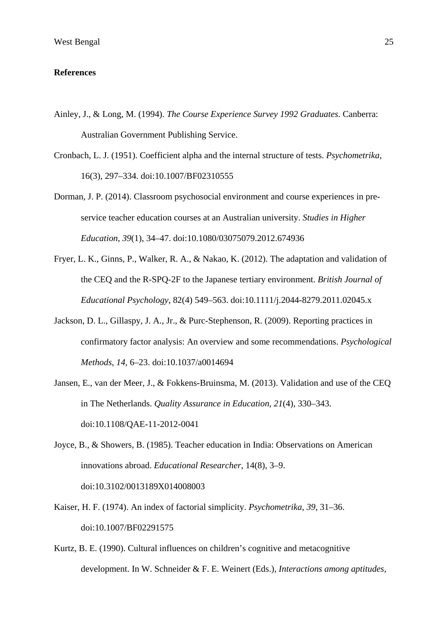#### **References**

- Ainley, J., & Long, M. (1994). *The Course Experience Survey 1992 Graduates*. Canberra: Australian Government Publishing Service.
- Cronbach, L. J. (1951). Coefficient alpha and the internal structure of tests. *Psychometrika*, 16(3), 297–334. doi:10.1007/BF02310555
- Dorman, J. P. (2014). Classroom psychosocial environment and course experiences in preservice teacher education courses at an Australian university. *Studies in Higher Education*, *39*(1), 34–47. doi:10.1080/03075079.2012.674936
- Fryer, L. K., Ginns, P., Walker, R. A., & Nakao, K. (2012). The adaptation and validation of the CEQ and the R-SPQ-2F to the Japanese tertiary environment. *British Journal of Educational Psychology*, 82(4) 549–563. doi:10.1111/j.2044-8279.2011.02045.x
- Jackson, D. L., Gillaspy, J. A., Jr., & Purc-Stephenson, R. (2009). Reporting practices in confirmatory factor analysis: An overview and some recommendations. *Psychological Methods*, *14*, 6–23. doi:10.1037/a0014694
- Jansen, E., van der Meer, J., & Fokkens-Bruinsma, M. (2013). Validation and use of the CEQ in The Netherlands. *Quality Assurance in Education*, *21*(4), 330–343. doi:10.1108/QAE-11-2012-0041
- Joyce, B., & Showers, B. (1985). Teacher education in India: Observations on American innovations abroad. *Educational Researcher*, 14(8), 3–9. doi:10.3102/0013189X014008003
- Kaiser, H. F. (1974). An index of factorial simplicity. *Psychometrika*, *39*, 31–36. doi:10.1007/BF02291575
- Kurtz, B. E. (1990). Cultural influences on children's cognitive and metacognitive development. In W. Schneider & F. E. Weinert (Eds.), *Interactions among aptitudes,*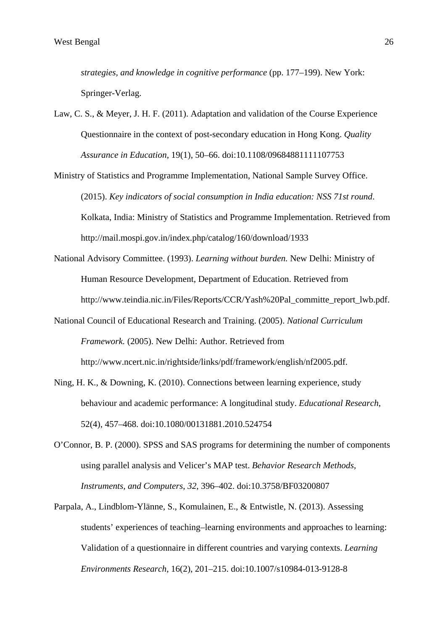*strategies, and knowledge in cognitive performance* (pp. 177–199). New York: Springer-Verlag.

Law, C. S., & Meyer, J. H. F. (2011). Adaptation and validation of the Course Experience Questionnaire in the context of post-secondary education in Hong Kong. *Quality Assurance in Education*, 19(1), 50–66. doi:10.1108/09684881111107753

- Ministry of Statistics and Programme Implementation, National Sample Survey Office. (2015). *Key indicators of social consumption in India education: NSS 71st round*. Kolkata, India: Ministry of Statistics and Programme Implementation. Retrieved from http://mail.mospi.gov.in/index.php/catalog/160/download/1933
- National Advisory Committee. (1993). *Learning without burden.* New Delhi: Ministry of Human Resource Development, Department of Education. Retrieved from http://www.teindia.nic.in/Files/Reports/CCR/Yash%20Pal\_committe\_report\_lwb.pdf.
- National Council of Educational Research and Training. (2005). *National Curriculum Framework.* (2005). New Delhi: Author. Retrieved from http://www.ncert.nic.in/rightside/links/pdf/framework/english/nf2005.pdf.
- Ning, H. K., & Downing, K. (2010). Connections between learning experience, study behaviour and academic performance: A longitudinal study. *Educational Research*, 52(4), 457–468. doi:10.1080/00131881.2010.524754
- O'Connor, B. P. (2000). SPSS and SAS programs for determining the number of components using parallel analysis and Velicer's MAP test. *Behavior Research Methods, Instruments, and Computers*, *32*, 396–402. doi:10.3758/BF03200807
- Parpala, A., Lindblom-Ylänne, S., Komulainen, E., & Entwistle, N. (2013). Assessing students' experiences of teaching–learning environments and approaches to learning: Validation of a questionnaire in different countries and varying contexts. *Learning Environments Research*, 16(2), 201–215. doi:10.1007/s10984-013-9128-8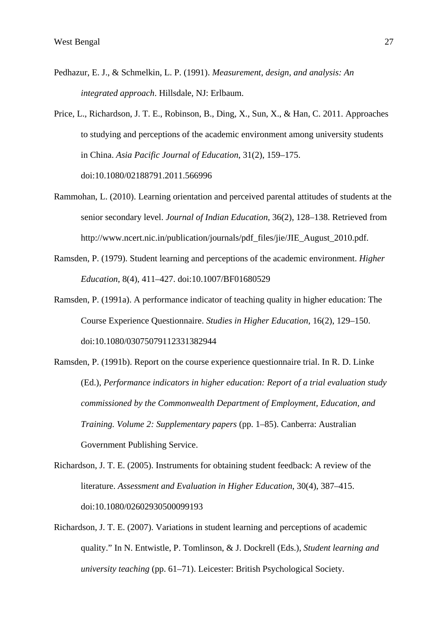- Pedhazur, E. J., & Schmelkin, L. P. (1991). *Measurement, design, and analysis: An integrated approach*. Hillsdale, NJ: Erlbaum.
- Price, L., Richardson, J. T. E., Robinson, B., Ding, X., Sun, X., & Han, C. 2011. Approaches to studying and perceptions of the academic environment among university students in China. *Asia Pacific Journal of Education*, 31(2), 159–175. doi:10.1080/02188791.2011.566996
- Rammohan, L. (2010). Learning orientation and perceived parental attitudes of students at the senior secondary level. *Journal of Indian Education*, 36(2), 128–138. Retrieved from http://www.ncert.nic.in/publication/journals/pdf\_files/jie/JIE\_August\_2010.pdf.
- Ramsden, P. (1979). Student learning and perceptions of the academic environment. *Higher Education*, 8(4), 411–427. doi:10.1007/BF01680529
- Ramsden, P. (1991a). A performance indicator of teaching quality in higher education: The Course Experience Questionnaire. *Studies in Higher Education*, 16(2), 129–150. doi:10.1080/03075079112331382944
- Ramsden, P. (1991b). Report on the course experience questionnaire trial. In R. D. Linke (Ed.), *Performance indicators in higher education: Report of a trial evaluation study commissioned by the Commonwealth Department of Employment, Education, and Training. Volume 2: Supplementary papers* (pp. 1–85). Canberra: Australian Government Publishing Service.
- Richardson, J. T. E. (2005). Instruments for obtaining student feedback: A review of the literature. *Assessment and Evaluation in Higher Education*, 30(4), 387–415. doi:10.1080/02602930500099193
- Richardson, J. T. E. (2007). Variations in student learning and perceptions of academic quality." In N. Entwistle, P. Tomlinson, & J. Dockrell (Eds.), *Student learning and university teaching* (pp. 61–71). Leicester: British Psychological Society.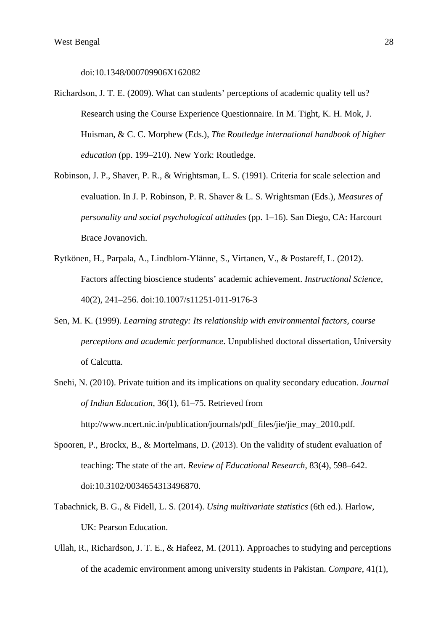doi:10.1348/000709906X162082

- Richardson, J. T. E. (2009). What can students' perceptions of academic quality tell us? Research using the Course Experience Questionnaire. In M. Tight, K. H. Mok, J. Huisman, & C. C. Morphew (Eds.), *The Routledge international handbook of higher education* (pp. 199–210). New York: Routledge.
- Robinson, J. P., Shaver, P. R., & Wrightsman, L. S. (1991). Criteria for scale selection and evaluation. In J. P. Robinson, P. R. Shaver & L. S. Wrightsman (Eds.), *Measures of personality and social psychological attitudes* (pp. 1–16). San Diego, CA: Harcourt Brace Jovanovich.
- Rytkönen, H., Parpala, A., Lindblom-Ylänne, S., Virtanen, V., & Postareff, L. (2012). Factors affecting bioscience students' academic achievement. *Instructional Science*, 40(2), 241–256. doi:10.1007/s11251-011-9176-3
- Sen, M. K. (1999). *Learning strategy: Its relationship with environmental factors, course perceptions and academic performance*. Unpublished doctoral dissertation, University of Calcutta.
- Snehi, N. (2010). Private tuition and its implications on quality secondary education. *Journal of Indian Education*, 36(1), 61–75. Retrieved from http://www.ncert.nic.in/publication/journals/pdf\_files/jie/jie\_may\_2010.pdf.
- Spooren, P., Brockx, B., & Mortelmans, D. (2013). On the validity of student evaluation of teaching: The state of the art. *Review of Educational Research*, 83(4), 598–642. doi:10.3102/0034654313496870.
- Tabachnick, B. G., & Fidell, L. S. (2014). *Using multivariate statistics* (6th ed.). Harlow, UK: Pearson Education.
- Ullah, R., Richardson, J. T. E., & Hafeez, M. (2011). Approaches to studying and perceptions of the academic environment among university students in Pakistan. *Compare*, 41(1),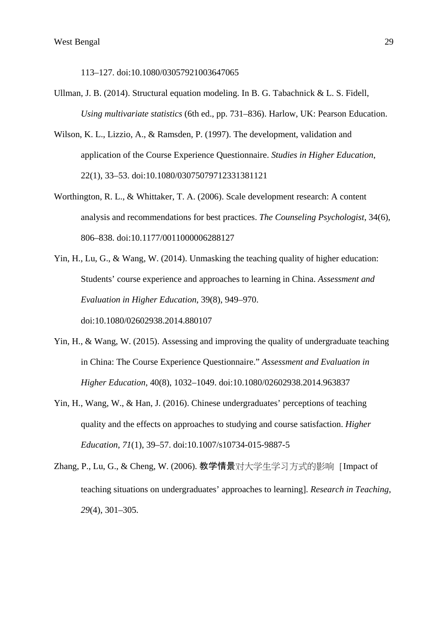113–127. doi:10.1080/03057921003647065

- Ullman, J. B. (2014). Structural equation modeling. In B. G. Tabachnick & L. S. Fidell, *Using multivariate statistics* (6th ed., pp. 731–836). Harlow, UK: Pearson Education.
- Wilson, K. L., Lizzio, A., & Ramsden, P. (1997). The development, validation and application of the Course Experience Questionnaire. *Studies in Higher Education*, 22(1), 33–53. doi:10.1080/03075079712331381121
- Worthington, R. L., & Whittaker, T. A. (2006). Scale development research: A content analysis and recommendations for best practices. *The Counseling Psychologist*, 34(6), 806–838. doi:10.1177/0011000006288127
- Yin, H., Lu, G., & Wang, W. (2014). Unmasking the teaching quality of higher education: Students' course experience and approaches to learning in China. *Assessment and Evaluation in Higher Education*, 39(8), 949–970. doi:10.1080/02602938.2014.880107
- Yin, H., & Wang, W. (2015). Assessing and improving the quality of undergraduate teaching in China: The Course Experience Questionnaire." *Assessment and Evaluation in Higher Education*, 40(8), 1032–1049. doi:10.1080/02602938.2014.963837
- Yin, H., Wang, W., & Han, J. (2016). Chinese undergraduates' perceptions of teaching quality and the effects on approaches to studying and course satisfaction. *Higher Education*, *71*(1), 39–57. doi:10.1007/s10734-015-9887-5
- Zhang, P., Lu, G., & Cheng, W. (2006). 教学情景对大学生学习方式的影响 [Impact of teaching situations on undergraduates' approaches to learning]. *Research in Teaching*, *29*(4), 301–305.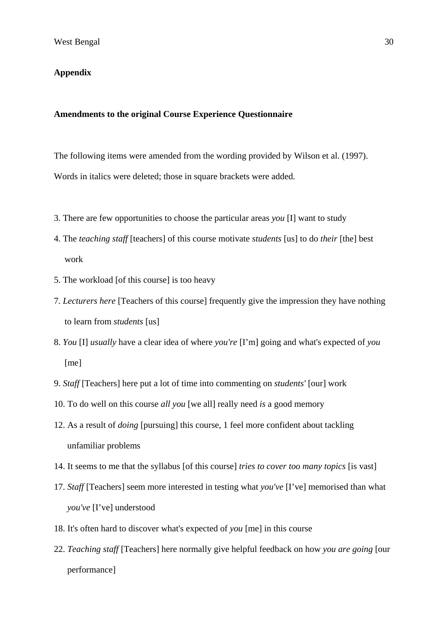#### **Appendix**

#### **Amendments to the original Course Experience Questionnaire**

The following items were amended from the wording provided by Wilson et al. (1997). Words in italics were deleted; those in square brackets were added.

- 3. There are few opportunities to choose the particular areas *you* [I] want to study
- 4. The *teaching staff* [teachers] of this course motivate *students* [us] to do *their* [the] best work
- 5. The workload [of this course] is too heavy
- 7. *Lecturers here* [Teachers of this course] frequently give the impression they have nothing to learn from *students* [us]
- 8. *You* [I] *usually* have a clear idea of where *you're* [I'm] going and what's expected of *you* [me]
- 9. *Staff* [Teachers] here put a lot of time into commenting on *students'* [our] work
- 10. To do well on this course *all you* [we all] really need *is* a good memory
- 12. As a result of *doing* [pursuing] this course, 1 feel more confident about tackling unfamiliar problems
- 14. It seems to me that the syllabus [of this course] *tries to cover too many topics* [is vast]
- 17. *Staff* [Teachers] seem more interested in testing what *you've* [I've] memorised than what *you've* [I've] understood
- 18. It's often hard to discover what's expected of *you* [me] in this course
- 22. *Teaching staff* [Teachers] here normally give helpful feedback on how *you are going* [our performance]